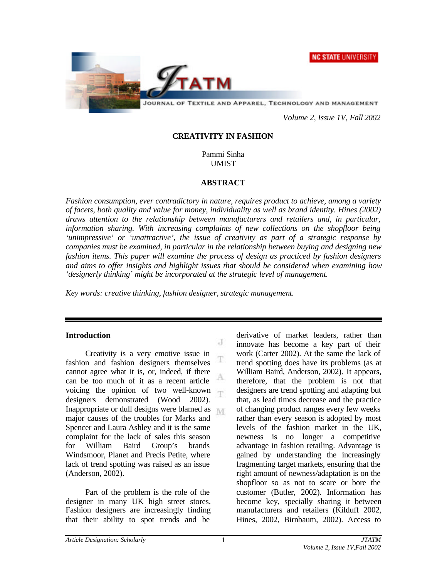**NC STATE UNIVERSITY** 



*Volume 2, Issue 1V, Fall 2002*

## **CREATIVITY IN FASHION**

Pammi Sinha UMIST

## **ABSTRACT**

*Fashion consumption, ever contradictory in nature, requires product to achieve, among a variety of facets, both quality and value for money, individuality as well as brand identity. Hines (2002) draws attention to the relationship between manufacturers and retailers and, in particular, information sharing. With increasing complaints of new collections on the shopfloor being 'unimpressive' or 'unattractive', the issue of creativity as part of a strategic response by companies must be examined, in particular in the relationship between buying and designing new fashion items. This paper will examine the process of design as practiced by fashion designers and aims to offer insights and highlight issues that should be considered when examining how 'designerly thinking' might be incorporated at the strategic level of management.*

J

г

*Key words: creative thinking, fashion designer, strategic management.*

### **Introduction**

Creativity is a very emotive issue in fashion and fashion designers themselves cannot agree what it is, or, indeed, if there A can be too much of it as a recent article voicing the opinion of two well-known T. designers demonstrated (Wood 2002). Inappropriate or dull designs were blamed as major causes of the troubles for Marks and Spencer and Laura Ashley and it is the same complaint for the lack of sales this season for William Baird Group's brands Windsmoor, Planet and Precis Petite, where lack of trend spotting was raised as an issue (Anderson, 2002).

Part of the problem is the role of the designer in many UK high street stores. Fashion designers are increasingly finding that their ability to spot trends and be

derivative of market leaders, rather than innovate has become a key part of their work (Carter 2002). At the same the lack of trend spotting does have its problems (as at William Baird, Anderson, 2002). It appears, therefore, that the problem is not that designers are trend spotting and adapting but that, as lead times decrease and the practice of changing product ranges every few weeks rather than every season is adopted by most levels of the fashion market in the UK, newness is no longer a competitive advantage in fashion retailing. Advantage is gained by understanding the increasingly fragmenting target markets, ensuring that the right amount of newness/adaptation is on the shopfloor so as not to scare or bore the customer (Butler, 2002). Information has become key, specially sharing it between manufacturers and retailers (Kilduff 2002, Hines, 2002, Birnbaum, 2002). Access to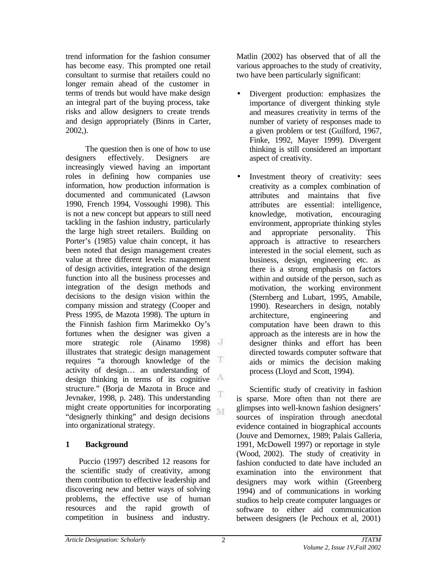trend information for the fashion consumer has become easy. This prompted one retail consultant to surmise that retailers could no longer remain ahead of the customer in terms of trends but would have make design an integral part of the buying process, take risks and allow designers to create trends and design appropriately (Binns in Carter, 2002,).

The question then is one of how to use designers effectively. Designers are increasingly viewed having an important roles in defining how companies use information, how production information is documented and communicated (Lawson 1990, French 1994, Vossoughi 1998). This is not a new concept but appears to still need tackling in the fashion industry, particularly the large high street retailers. Building on Porter's (1985) value chain concept, it has been noted that design management creates value at three different levels: management of design activities, integration of the design function into all the business processes and integration of the design methods and decisions to the design vision within the company mission and strategy (Cooper and Press 1995, de Mazota 1998). The upturn in the Finnish fashion firm Marimekko Oy's fortunes when the designer was given a more strategic role (Ainamo 1998) illustrates that strategic design management T. requires "a thorough knowledge of the activity of design… an understanding of design thinking in terms of its cognitive structure." (Borja de Mazota in Bruce and T Jevnaker, 1998, p. 248). This understanding might create opportunities for incorporating M. "designerly thinking" and design decisions into organizational strategy.

# **1 Background**

Puccio (1997) described 12 reasons for the scientific study of creativity, among them contribution to effective leadership and discovering new and better ways of solving problems, the effective use of human resources and the rapid growth of competition in business and industry.

Matlin (2002) has observed that of all the various approaches to the study of creativity, two have been particularly significant:

- Divergent production: emphasizes the importance of divergent thinking style and measures creativity in terms of the number of variety of responses made to a given problem or test (Guilford, 1967, Finke, 1992, Mayer 1999). Divergent thinking is still considered an important aspect of creativity.
- Investment theory of creativity: sees creativity as a complex combination of attributes and maintains that five attributes are essential: intelligence, knowledge, motivation, encouraging environment, appropriate thinking styles and appropriate personality. This approach is attractive to researchers interested in the social element, such as business, design, engineering etc. as there is a strong emphasis on factors within and outside of the person, such as motivation, the working environment (Sternberg and Lubart, 1995, Amabile, 1990). Researchers in design, notably architecture, engineering and computation have been drawn to this approach as the interests are in how the designer thinks and effort has been directed towards computer software that aids or mimics the decision making process (Lloyd and Scott, 1994).

Scientific study of creativity in fashion is sparse. More often than not there are glimpses into well-known fashion designers' sources of inspiration through anecdotal evidence contained in biographical accounts (Jouve and Demornex, 1989; Palais Galleria, 1991, McDowell 1997) or reportage in style (Wood, 2002). The study of creativity in fashion conducted to date have included an examination into the environment that designers may work within (Greenberg 1994) and of communications in working studios to help create computer languages or software to either aid communication between designers (le Pechoux et al, 2001)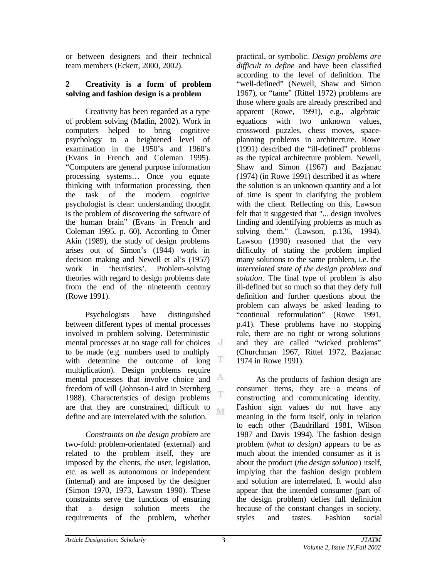or between designers and their technical team members (Eckert, 2000, 2002).

## **2 Creativity is a form of problem solving and fashion design is a problem**

Creativity has been regarded as a type of problem solving (Matlin, 2002). Work in computers helped to bring cognitive psychology to a heightened level of examination in the 1950's and 1960's (Evans in French and Coleman 1995). "Computers are general purpose information processing systems… Once you equate thinking with information processing, then the task of the modern cognitive psychologist is clear: understanding thought is the problem of discovering the software of the human brain" (Evans in French and Coleman 1995, p. 60). According to Ömer Akin (1989), the study of design problems arises out of Simon's (1944) work in decision making and Newell et al's (1957) work in 'heuristics'. Problem-solving theories with regard to design problems date from the end of the nineteenth century (Rowe 1991).

Psychologists have distinguished between different types of mental processes involved in problem solving. Deterministic mental processes at no stage call for choices to be made (e.g. numbers used to multiply with determine the outcome of long Ŧ. multiplication). Design problems require mental processes that involve choice and freedom of will (Johnson-Laird in Sternberg 1988). Characteristics of design problems are that they are constrained, difficult to M. define and are interrelated with the solution.

*Constraints on the design problem* are two-fold: problem-orientated (external) and related to the problem itself, they are imposed by the clients, the user, legislation, etc. as well as autonomous or independent (internal) and are imposed by the designer (Simon 1970, 1973, Lawson 1990). These constraints serve the functions of ensuring that a design solution meets the requirements of the problem, whether

practical, or symbolic. *Design problems are difficult to define* and have been classified according to the level of definition. The "well-defined" (Newell, Shaw and Simon 1967), or "tame" (Rittel 1972) problems are those where goals are already prescribed and apparent (Rowe, 1991), e.g., algebraic equations with two unknown values, crossword puzzles, chess moves, spaceplanning problems in architecture. Rowe (1991) described the "ill-defined" problems as the typical architecture problem. Newell, Shaw and Simon (1967) and Bazjanac (1974) (in Rowe 1991) described it as where the solution is an unknown quantity and a lot of time is spent in clarifying the problem with the client. Reflecting on this, Lawson felt that it suggested that "... design involves finding and identifying problems as much as solving them." (Lawson, p.136, 1994). Lawson (1990) reasoned that the very difficulty of stating the problem implied many solutions to the same problem, i.e. the *interrelated state of the design problem and solution*. The final type of problem is also ill-defined but so much so that they defy full definition and further questions about the problem can always be asked leading to "continual reformulation" (Rowe 1991, p.41). These problems have no stopping rule, there are no right or wrong solutions and they are called "wicked problems" (Churchman 1967, Rittel 1972, Bazjanac 1974 in Rowe 1991).

As the products of fashion design are consumer items, they are a means of constructing and communicating identity. Fashion sign values do not have any meaning in the form itself, only in relation to each other (Baudrillard 1981, Wilson 1987 and Davis 1994). The fashion design problem (*what to design)* appears to be as much about the intended consumer as it is about the product (*the design solution*) itself, implying that the fashion design problem and solution are interrelated. It would also appear that the intended consumer (part of the design problem) defies full definition because of the constant changes in society, styles and tastes. Fashion social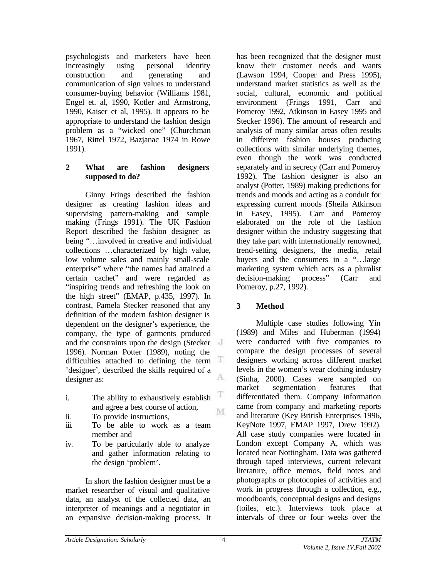psychologists and marketers have been increasingly using personal identity construction and generating and communication of sign values to understand consumer-buying behavior (Williams 1981, Engel et. al, 1990, Kotler and Armstrong, 1990, Kaiser et al, 1995). It appears to be appropriate to understand the fashion design problem as a "wicked one" (Churchman 1967, Rittel 1972, Bazjanac 1974 in Rowe 1991).

#### **2 What are fashion designers supposed to do?**

Ginny Frings described the fashion designer as creating fashion ideas and supervising pattern-making and sample making (Frings 1991). The UK Fashion Report described the fashion designer as being "…involved in creative and individual collections …characterized by high value, low volume sales and mainly small-scale enterprise" where "the names had attained a certain cachet" and were regarded as "inspiring trends and refreshing the look on the high street" (EMAP, p.435, 1997). In contrast, Pamela Stecker reasoned that any definition of the modern fashion designer is dependent on the designer's experience, the company, the type of garments produced and the constraints upon the design (Stecker 1996). Norman Potter (1989), noting the difficulties attached to defining the term  $\mathbb T$ 'designer', described the skills required of a A designer as:

- i. The ability to exhaustively establish and agree a best course of action,
- ii. To provide instructions,
- iii. To be able to work as a team member and
- iv. To be particularly able to analyze and gather information relating to the design 'problem'.

In short the fashion designer must be a market researcher of visual and qualitative data, an analyst of the collected data, an interpreter of meanings and a negotiator in an expansive decision-making process. It has been recognized that the designer must know their customer needs and wants (Lawson 1994, Cooper and Press 1995), understand market statistics as well as the social, cultural, economic and political environment (Frings 1991, Carr and Pomeroy 1992, Atkinson in Easey 1995 and Stecker 1996). The amount of research and analysis of many similar areas often results in different fashion houses producing collections with similar underlying themes, even though the work was conducted separately and in secrecy (Carr and Pomeroy 1992). The fashion designer is also an analyst (Potter, 1989) making predictions for trends and moods and acting as a conduit for expressing current moods (Sheila Atkinson in Easey, 1995). Carr and Pomeroy elaborated on the role of the fashion designer within the industry suggesting that they take part with internationally renowned, trend-setting designers, the media, retail buyers and the consumers in a "…large marketing system which acts as a pluralist decision-making process" (Carr and Pomeroy, p.27, 1992).

# **3 Method**

Multiple case studies following Yin (1989) and Miles and Huberman (1994) were conducted with five companies to compare the design processes of several designers working across different market levels in the women's wear clothing industry (Sinha, 2000). Cases were sampled on market segmentation features that differentiated them. Company information came from company and marketing reports and literature (Key British Enterprises 1996, KeyNote 1997, EMAP 1997, Drew 1992). All case study companies were located in London except Company A, which was located near Nottingham. Data was gathered through taped interviews, current relevant literature, office memos, field notes and photographs or photocopies of activities and work in progress through a collection, e.g., moodboards, conceptual designs and designs (toiles, etc.). Interviews took place at intervals of three or four weeks over the

T

M.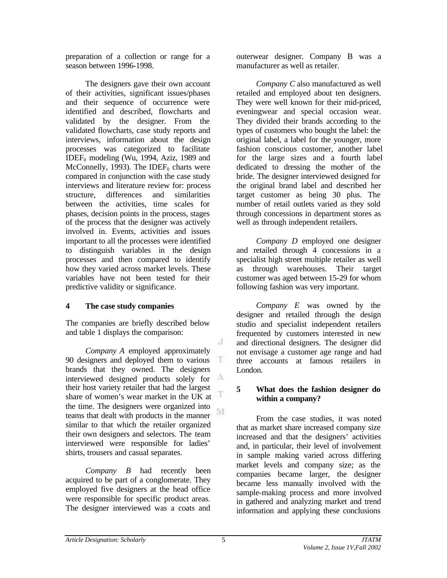preparation of a collection or range for a season between 1996-1998.

The designers gave their own account of their activities, significant issues/phases and their sequence of occurrence were identified and described, flowcharts and validated by the designer. From the validated flowcharts, case study reports and interviews, information about the design processes was categorized to facilitate  $\overline{\text{IDEF}}_0$  modeling (Wu, 1994, Aziz, 1989 and McConnelly, 1993). The IDEF<sub>0</sub> charts were compared in conjunction with the case study interviews and literature review for: process structure, differences and similarities between the activities, time scales for phases, decision points in the process, stages of the process that the designer was actively involved in. Events, activities and issues important to all the processes were identified to distinguish variables in the design processes and then compared to identify how they varied across market levels. These variables have not been tested for their predictive validity or significance.

# **4 The case study companies**

The companies are briefly described below and table 1 displays the comparison:

*Company A* employed approximately 90 designers and deployed them to various brands that they owned. The designers interviewed designed products solely for  $A$ their host variety retailer that had the largest share of women's wear market in the UK at  $\mathbb{T}$ the time. The designers were organized into M teams that dealt with products in the manner similar to that which the retailer organized their own designers and selectors. The team interviewed were responsible for ladies' shirts, trousers and casual separates.

*Company B* had recently been acquired to be part of a conglomerate. They employed five designers at the head office were responsible for specific product areas. The designer interviewed was a coats and

outerwear designer. Company B was a manufacturer as well as retailer.

*Company C* also manufactured as well retailed and employed about ten designers. They were well known for their mid-priced, eveningwear and special occasion wear. They divided their brands according to the types of customers who bought the label: the original label, a label for the younger, more fashion conscious customer, another label for the large sizes and a fourth label dedicated to dressing the mother of the bride. The designer interviewed designed for the original brand label and described her target customer as being 30 plus. The number of retail outlets varied as they sold through concessions in department stores as well as through independent retailers.

*Company D* employed one designer and retailed through 4 concessions in a specialist high street multiple retailer as well as through warehouses. Their target customer was aged between 15-29 for whom following fashion was very important.

*Company E* was owned by the designer and retailed through the design studio and specialist independent retailers frequented by customers interested in new and directional designers. The designer did not envisage a customer age range and had three accounts at famous retailers in London.

### **5 What does the fashion designer do within a company?**

From the case studies, it was noted that as market share increased company size increased and that the designers' activities and, in particular, their level of involvement in sample making varied across differing market levels and company size; as the companies became larger, the designer became less manually involved with the sample-making process and more involved in gathered and analyzing market and trend information and applying these conclusions

J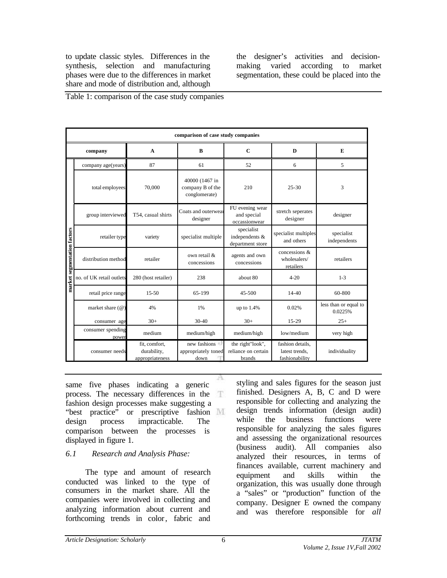to update classic styles. Differences in the synthesis, selection and manufacturing phases were due to the differences in market share and mode of distribution and, although

the designer's activities and decisionmaking varied according to market segmentation, these could be placed into the

|  | Table 1: comparison of the case study companies |  |  |  |
|--|-------------------------------------------------|--|--|--|
|  |                                                 |  |  |  |
|  |                                                 |  |  |  |

|                             | comparison of case study companies |                                                 |                                                     |                                                   |                                                      |                                  |
|-----------------------------|------------------------------------|-------------------------------------------------|-----------------------------------------------------|---------------------------------------------------|------------------------------------------------------|----------------------------------|
| company                     |                                    | $\mathbf{A}$                                    | $\bf{B}$                                            | $\mathbf C$                                       | $\bf{D}$                                             | E                                |
|                             | company age(years)                 | 87                                              | 61                                                  | 52                                                | 6                                                    | 5                                |
|                             | total employees                    | 70,000                                          | 40000 (1467 in<br>company B of the<br>conglomerate) | 210                                               | $25 - 30$                                            | 3                                |
|                             | group interviewed                  | T54, casual shirts                              | Coats and outerwear<br>designer                     | FU evening wear<br>and special<br>occassionwear   | stretch seperates<br>designer                        | designer                         |
|                             | retailer type                      | variety                                         | specialist multiple                                 | specialist<br>independents &<br>department store  | specialist multiples<br>and others                   | specialist<br>independents       |
| market segmentation factors | distribution method                | retailer                                        | own retail &<br>concessions                         | agents and own<br>concessions                     | concessions $\&$<br>wholesalers/<br>retailers        | retailers                        |
|                             | no. of UK retail outlets           | 280 (host retailer)                             | 238                                                 | about 80                                          | $4 - 20$                                             | $1 - 3$                          |
|                             | retail price range                 | $15 - 50$                                       | 65-199                                              | 45-500                                            | $14 - 40$                                            | 60-800                           |
|                             | market share $(\mathcal{Q})$       | 4%                                              | 1%                                                  | up to 1.4%                                        | 0.02%                                                | less than or equal to<br>0.0225% |
|                             | consumer age                       | $30+$                                           | $30 - 40$                                           | $30+$                                             | $15-29$                                              | $25+$                            |
|                             | consumer spending<br>power         | medium                                          | medium/high                                         | medium/high                                       | low/medium                                           | very high                        |
|                             | consumer needs                     | fit, comfort,<br>durability,<br>appropriateness | new fashions<br>appropriately toned<br>down         | the right"look",<br>reliance on certain<br>brands | fashion details.<br>latest trends.<br>fashionability | individuality                    |

same five phases indicating a generic process. The necessary differences in the fashion design processes make suggesting a "best practice" or prescriptive fashion M design process impracticable. The comparison between the processes is displayed in figure 1.

# *6.1 Research and Analysis Phase:*

The type and amount of research conducted was linked to the type of consumers in the market share. All the companies were involved in collecting and analyzing information about current and forthcoming trends in color, fabric and styling and sales figures for the season just finished. Designers A, B, C and D were responsible for collecting and analyzing the design trends information (design audit) while the business functions were responsible for analyzing the sales figures and assessing the organizational resources (business audit). All companies also analyzed their resources, in terms of finances available, current machinery and equipment and skills within the organization, this was usually done through a "sales" or "production" function of the company. Designer E owned the company and was therefore responsible for *all*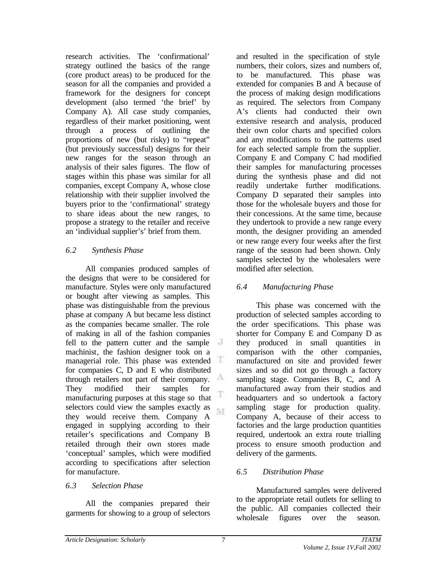research activities. The 'confirmational' strategy outlined the basics of the range (core product areas) to be produced for the season for all the companies and provided a framework for the designers for concept development (also termed 'the brief' by Company A). All case study companies, regardless of their market positioning, went through a process of outlining the proportions of new (but risky) to "repeat" (but previously successful) designs for their new ranges for the season through an analysis of their sales figures. The flow of stages within this phase was similar for all companies, except Company A, whose close relationship with their supplier involved the buyers prior to the 'confirmational' strategy to share ideas about the new ranges, to propose a strategy to the retailer and receive an 'individual supplier's' brief from them.

# *6.2 Synthesis Phase*

All companies produced samples of the designs that were to be considered for manufacture. Styles were only manufactured or bought after viewing as samples. This phase was distinguishable from the previous phase at company A but became less distinct as the companies became smaller. The role of making in all of the fashion companies fell to the pattern cutter and the sample machinist, the fashion designer took on a managerial role. This phase was extended Ŧ for companies C, D and E who distributed А through retailers not part of their company. They modified their samples for T manufacturing purposes at this stage so that selectors could view the samples exactly as M. they would receive them. Company A engaged in supplying according to their retailer's specifications and Company B retailed through their own stores made 'conceptual' samples, which were modified according to specifications after selection for manufacture.

### *6.3 Selection Phase*

All the companies prepared their garments for showing to a group of selectors and resulted in the specification of style numbers, their colors, sizes and numbers of, to be manufactured. This phase was extended for companies B and A because of the process of making design modifications as required. The selectors from Company A's clients had conducted their own extensive research and analysis, produced their own color charts and specified colors and any modifications to the patterns used for each selected sample from the supplier. Company E and Company C had modified their samples for manufacturing processes during the synthesis phase and did not readily undertake further modifications. Company D separated their samples into those for the wholesale buyers and those for their concessions. At the same time, because they undertook to provide a new range every month, the designer providing an amended or new range every four weeks after the first range of the season had been shown. Only samples selected by the wholesalers were modified after selection.

# *6.4 Manufacturing Phase*

This phase was concerned with the production of selected samples according to the order specifications. This phase was shorter for Company E and Company D as they produced in small quantities in comparison with the other companies, manufactured on site and provided fewer sizes and so did not go through a factory sampling stage. Companies B, C, and A manufactured away from their studios and headquarters and so undertook a factory sampling stage for production quality. Company A, because of their access to factories and the large production quantities required, undertook an extra route trialling process to ensure smooth production and delivery of the garments.

# *6.5 Distribution Phase*

Manufactured samples were delivered to the appropriate retail outlets for selling to the public. All companies collected their wholesale figures over the season.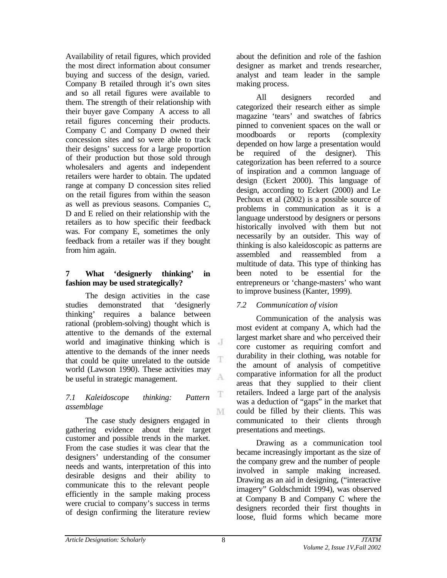Availability of retail figures, which provided the most direct information about consumer buying and success of the design, varied. Company B retailed through it's own sites and so all retail figures were available to them. The strength of their relationship with their buyer gave Company A access to all retail figures concerning their products. Company C and Company D owned their concession sites and so were able to track their designs' success for a large proportion of their production but those sold through wholesalers and agents and independent retailers were harder to obtain. The updated range at company D concession sites relied on the retail figures from within the season as well as previous seasons. Companies C, D and E relied on their relationship with the retailers as to how specific their feedback was. For company E, sometimes the only feedback from a retailer was if they bought from him again.

## **7 What 'designerly thinking' in fashion may be used strategically?**

The design activities in the case studies demonstrated that 'designerly thinking' requires a balance between rational (problem-solving) thought which is attentive to the demands of the external world and imaginative thinking which is attentive to the demands of the inner needs that could be quite unrelated to the outside Ŧ world (Lawson 1990). These activities may A be useful in strategic management.

#### *7.1 Kaleidoscope thinking: Pattern assemblage* M

The case study designers engaged in gathering evidence about their target customer and possible trends in the market. From the case studies it was clear that the designers' understanding of the consumer needs and wants, interpretation of this into desirable designs and their ability to communicate this to the relevant people efficiently in the sample making process were crucial to company's success in terms of design confirming the literature review about the definition and role of the fashion designer as market and trends researcher, analyst and team leader in the sample making process.

All designers recorded and categorized their research either as simple magazine 'tears' and swatches of fabrics pinned to convenient spaces on the wall or moodboards or reports (complexity depended on how large a presentation would be required of the designer). This categorization has been referred to a source of inspiration and a common language of design (Eckert 2000). This language of design, according to Eckert (2000) and Le Pechoux et al (2002) is a possible source of problems in communication as it is a language understood by designers or persons historically involved with them but not necessarily by an outsider. This way of thinking is also kaleidoscopic as patterns are assembled and reassembled from a multitude of data. This type of thinking has been noted to be essential for the entrepreneurs or 'change-masters' who want to improve business (Kanter, 1999).

# *7.2 Communication of vision*

Communication of the analysis was most evident at company A, which had the largest market share and who perceived their core customer as requiring comfort and durability in their clothing, was notable for the amount of analysis of competitive comparative information for all the product areas that they supplied to their client retailers. Indeed a large part of the analysis was a deduction of "gaps" in the market that could be filled by their clients. This was communicated to their clients through presentations and meetings.

Drawing as a communication tool became increasingly important as the size of the company grew and the number of people involved in sample making increased. Drawing as an aid in designing, ("interactive imagery" Goldschmidt 1994), was observed at Company B and Company C where the designers recorded their first thoughts in loose, fluid forms which became more

T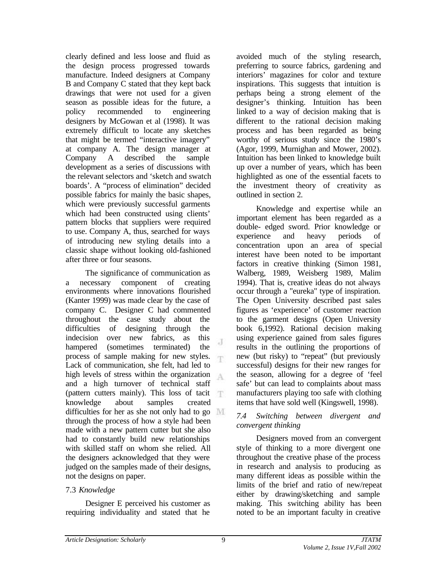clearly defined and less loose and fluid as the design process progressed towards manufacture. Indeed designers at Company B and Company C stated that they kept back drawings that were not used for a given season as possible ideas for the future, a policy recommended to engineering designers by McGowan et al (1998). It was extremely difficult to locate any sketches that might be termed "interactive imagery" at company A. The design manager at Company A described the sample development as a series of discussions with the relevant selectors and 'sketch and swatch boards'. A "process of elimination" decided possible fabrics for mainly the basic shapes, which were previously successful garments which had been constructed using clients' pattern blocks that suppliers were required to use. Company A, thus, searched for ways of introducing new styling details into a classic shape without looking old-fashioned after three or four seasons.

The significance of communication as a necessary component of creating environments where innovations flourished (Kanter 1999) was made clear by the case of company C. Designer C had commented throughout the case study about the difficulties of designing through the indecision over new fabrics, as this  $\mathcal{A}$ hampered (sometimes terminated) the process of sample making for new styles. Lack of communication, she felt, had led to high levels of stress within the organization  $A$ and a high turnover of technical staff (pattern cutters mainly). This loss of tacit  $\top$ knowledge about samples created difficulties for her as she not only had to go through the process of how a style had been made with a new pattern cutter but she also had to constantly build new relationships with skilled staff on whom she relied. All the designers acknowledged that they were judged on the samples made of their designs, not the designs on paper.

# 7.3 *Knowledge*

Designer E perceived his customer as requiring individuality and stated that he avoided much of the styling research, preferring to source fabrics, gardening and interiors' magazines for color and texture inspirations. This suggests that intuition is perhaps being a strong element of the designer's thinking. Intuition has been linked to a way of decision making that is different to the rational decision making process and has been regarded as being worthy of serious study since the 1980's (Agor, 1999, Murnighan and Mower, 2002). Intuition has been linked to knowledge built up over a number of years, which has been highlighted as one of the essential facets to the investment theory of creativity as outlined in section 2.

Knowledge and expertise while an important element has been regarded as a double- edged sword. Prior knowledge or experience and heavy periods of concentration upon an area of special interest have been noted to be important factors in creative thinking (Simon 1981, Walberg, 1989, Weisberg 1989, Malim 1994). That is, creative ideas do not always occur through a "eureka" type of inspiration. The Open University described past sales figures as 'experience' of customer reaction to the garment designs (Open University book 6,1992). Rational decision making using experience gained from sales figures results in the outlining the proportions of new (but risky) to "repeat" (but previously successful) designs for their new ranges for the season, allowing for a degree of 'feel safe' but can lead to complaints about mass manufacturers playing too safe with clothing items that have sold well (Kingswell, 1998).

#### *7.4 Switching between divergent and convergent thinking*

Designers moved from an convergent style of thinking to a more divergent one throughout the creative phase of the process in research and analysis to producing as many different ideas as possible within the limits of the brief and ratio of new/repeat either by drawing/sketching and sample making. This switching ability has been noted to be an important faculty in creative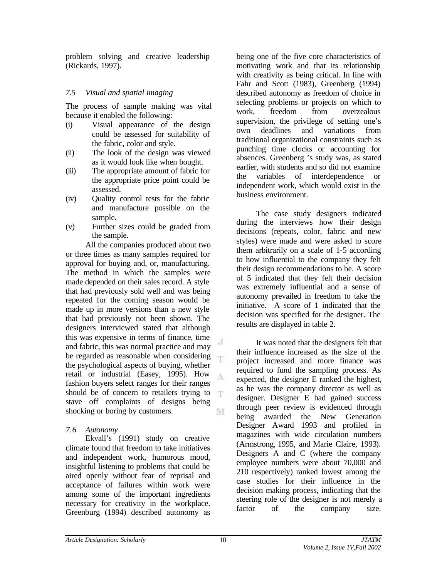problem solving and creative leadership (Rickards, 1997).

## *7.5 Visual and spatial imaging*

The process of sample making was vital because it enabled the following:

- (i) Visual appearance of the design could be assessed for suitability of the fabric, color and style.
- (ii) The look of the design was viewed as it would look like when bought.
- (iii) The appropriate amount of fabric for the appropriate price point could be assessed.
- (iv) Quality control tests for the fabric and manufacture possible on the sample.
- (v) Further sizes could be graded from the sample.

All the companies produced about two or three times as many samples required for approval for buying and, or, manufacturing. The method in which the samples were made depended on their sales record. A style that had previously sold well and was being repeated for the coming season would be made up in more versions than a new style that had previously not been shown. The designers interviewed stated that although this was expensive in terms of finance, time and fabric, this was normal practice and may be regarded as reasonable when considering the psychological aspects of buying, whether retail or industrial (Easey, 1995). How A fashion buyers select ranges for their ranges should be of concern to retailers trying to T stave off complaints of designs being shocking or boring by customers. M

### *7.6 Autonomy*

Ekvall's (1991) study on creative climate found that freedom to take initiatives and independent work, humorous mood, insightful listening to problems that could be aired openly without fear of reprisal and acceptance of failures within work were among some of the important ingredients necessary for creativity in the workplace. Greenburg (1994) described autonomy as

being one of the five core characteristics of motivating work and that its relationship with creativity as being critical. In line with Fahr and Scott (1983), Greenberg (1994) described autonomy as freedom of choice in selecting problems or projects on which to work, freedom from overzealous supervision, the privilege of setting one's own deadlines and variations from traditional organizational constraints such as punching time clocks or accounting for absences. Greenberg 's study was, as stated earlier, with students and so did not examine the variables of interdependence or independent work, which would exist in the business environment.

The case study designers indicated during the interviews how their design decisions (repeats, color, fabric and new styles) were made and were asked to score them arbitrarily on a scale of 1-5 according to how influential to the company they felt their design recommendations to be. A score of 5 indicated that they felt their decision was extremely influential and a sense of autonomy prevailed in freedom to take the initiative. A score of 1 indicated that the decision was specified for the designer. The results are displayed in table 2.

It was noted that the designers felt that their influence increased as the size of the project increased and more finance was required to fund the sampling process. As expected, the designer E ranked the highest, as he was the company director as well as designer. Designer E had gained success through peer review is evidenced through being awarded the New Generation Designer Award 1993 and profiled in magazines with wide circulation numbers (Armstrong, 1995, and Marie Claire, 1993). Designers A and C (where the company employee numbers were about 70,000 and 210 respectively) ranked lowest among the case studies for their influence in the decision making process, indicating that the steering role of the designer is not merely a factor of the company size.

J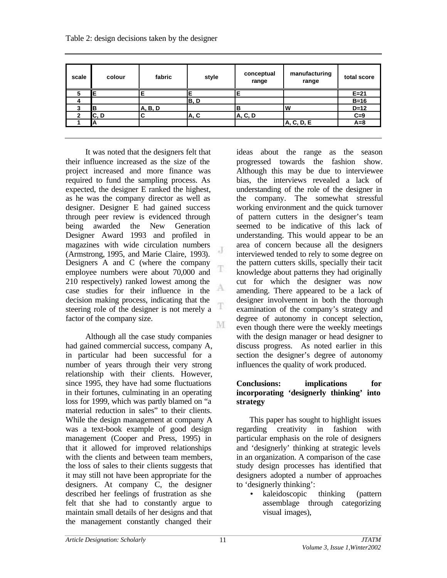| Table 2: design decisions taken by the designer |  |  |
|-------------------------------------------------|--|--|
|-------------------------------------------------|--|--|

| scale        | colour | fabric  | style | conceptual<br>range | manufacturing<br>range | total score |
|--------------|--------|---------|-------|---------------------|------------------------|-------------|
|              | Е      |         |       |                     |                        | $E=21$      |
|              |        |         | B, D  |                     |                        | $B=16$      |
|              | в      | A, B, D |       | в                   | <b>W</b>               | $D=12$      |
| $\mathbf{v}$ | C, D   | С       | A, C  | A, C, D             |                        | $C=9$       |
|              | А      |         |       |                     | A, C, D, E             | $A=8$       |

J

T

It was noted that the designers felt that their influence increased as the size of the project increased and more finance was required to fund the sampling process. As expected, the designer E ranked the highest, as he was the company director as well as designer. Designer E had gained success through peer review is evidenced through being awarded the New Generation Designer Award 1993 and profiled in magazines with wide circulation numbers (Armstrong, 1995, and Marie Claire, 1993). Designers A and C (where the company T employee numbers were about 70,000 and 210 respectively) ranked lowest among the А case studies for their influence in the decision making process, indicating that the steering role of the designer is not merely a factor of the company size. M

Although all the case study companies had gained commercial success, company A, in particular had been successful for a number of years through their very strong relationship with their clients. However, since 1995, they have had some fluctuations in their fortunes, culminating in an operating loss for 1999, which was partly blamed on "a material reduction in sales" to their clients. While the design management at company A was a text-book example of good design management (Cooper and Press, 1995) in that it allowed for improved relationships with the clients and between team members. the loss of sales to their clients suggests that it may still not have been appropriate for the designers. At company C, the designer described her feelings of frustration as she felt that she had to constantly argue to maintain small details of her designs and that the management constantly changed their

ideas about the range as the season progressed towards the fashion show. Although this may be due to interviewee bias, the interviews revealed a lack of understanding of the role of the designer in the company. The somewhat stressful working environment and the quick turnover of pattern cutters in the designer's team seemed to be indicative of this lack of understanding. This would appear to be an area of concern because all the designers interviewed tended to rely to some degree on the pattern cutters skills, specially their tacit knowledge about patterns they had originally cut for which the designer was now amending. There appeared to be a lack of designer involvement in both the thorough examination of the company's strategy and degree of autonomy in concept selection, even though there were the weekly meetings with the design manager or head designer to discuss progress. As noted earlier in this section the designer's degree of autonomy influences the quality of work produced.

### **Conclusions: implications for incorporating 'designerly thinking' into strategy**

This paper has sought to highlight issues regarding creativity in fashion with particular emphasis on the role of designers and 'designerly' thinking at strategic levels in an organization. A comparison of the case study design processes has identified that designers adopted a number of approaches to 'designerly thinking':

• kaleidoscopic thinking (pattern assemblage through categorizing visual images),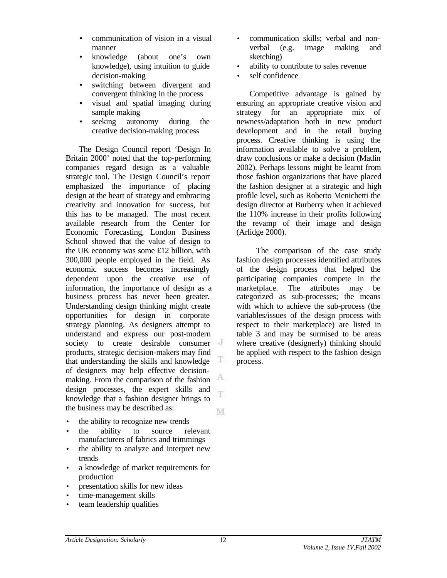- communication of vision in a visual manner
- knowledge (about one's own knowledge), using intuition to guide decision-making
- switching between divergent and convergent thinking in the process
- visual and spatial imaging during sample making
- seeking autonomy during the creative decision-making process

The Design Council report 'Design In Britain 2000' noted that the top-performing companies regard design as a valuable strategic tool. The Design Council's report emphasized the importance of placing design at the heart of strategy and embracing creativity and innovation for success, but this has to be managed. The most recent available research from the Center for Economic Forecasting, London Business School showed that the value of design to the UK economy was some £12 billion, with 300,000 people employed in the field. As economic success becomes increasingly dependent upon the creative use of information, the importance of design as a business process has never been greater. Understanding design thinking might create opportunities for design in corporate strategy planning. As designers attempt to understand and express our post-modern society to create desirable consumer products, strategic decision-makers may find that understanding the skills and knowledge of designers may help effective decision-А making. From the comparison of the fashion design processes, the expert skills and T knowledge that a fashion designer brings to the business may be described as: M.

- the ability to recognize new trends
- the ability to source relevant manufacturers of fabrics and trimmings
- the ability to analyze and interpret new trends
- a knowledge of market requirements for production
- presentation skills for new ideas
- time-management skills
- team leadership qualities
- communication skills; verbal and nonverbal (e.g. image making and sketching)
- ability to contribute to sales revenue
- self confidence

Competitive advantage is gained by ensuring an appropriate creative vision and strategy for an appropriate mix of newness/adaptation both in new product development and in the retail buying process. Creative thinking is using the information available to solve a problem, draw conclusions or make a decision (Matlin 2002). Perhaps lessons might be learnt from those fashion organizations that have placed the fashion designer at a strategic and high profile level, such as Roberto Menichetti the design director at Burberry when it achieved the 110% increase in their profits following the revamp of their image and design (Arlidge 2000).

The comparison of the case study fashion design processes identified attributes of the design process that helped the participating companies compete in the marketplace. The attributes may be categorized as sub-processes; the means with which to achieve the sub-process (the variables/issues of the design process with respect to their marketplace) are listed in table 3 and may be surmised to be areas where creative (designerly) thinking should be applied with respect to the fashion design process.

г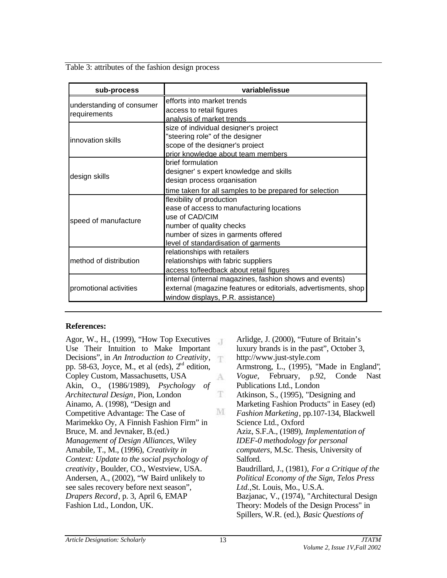Table 3: attributes of the fashion design process

| sub-process               | variable/issue                                                 |  |  |  |
|---------------------------|----------------------------------------------------------------|--|--|--|
| understanding of consumer | efforts into market trends                                     |  |  |  |
| requirements              | access to retail figures                                       |  |  |  |
|                           | analysis of market trends                                      |  |  |  |
|                           | size of individual designer's project                          |  |  |  |
| innovation skills         | "steering role" of the designer                                |  |  |  |
|                           | scope of the designer's project                                |  |  |  |
|                           | prior knowledge about team members                             |  |  |  |
|                           | brief formulation                                              |  |  |  |
| design skills             | designer's expert knowledge and skills                         |  |  |  |
|                           | design process organisation                                    |  |  |  |
|                           | time taken for all samples to be prepared for selection        |  |  |  |
|                           | flexibility of production                                      |  |  |  |
|                           | ease of access to manufacturing locations                      |  |  |  |
| speed of manufacture      | use of CAD/CIM                                                 |  |  |  |
|                           | number of quality checks                                       |  |  |  |
|                           | number of sizes in garments offered                            |  |  |  |
|                           | level of standardisation of garments                           |  |  |  |
|                           | relationships with retailers                                   |  |  |  |
| method of distribution    | relationships with fabric suppliers                            |  |  |  |
|                           | access to/feedback about retail figures                        |  |  |  |
|                           | internal (internal magazines, fashion shows and events)        |  |  |  |
| promotional activities    | external (magazine features or editorials, advertisments, shop |  |  |  |
|                           | window displays, P.R. assistance)                              |  |  |  |

### **References:**

Agor, W., H., (1999), "How Top Executives Use Their Intuition to Make Important Decisions", in *An Introduction to Creativity*, pp. 58-63, Joyce, M., et al (eds),  $2<sup>nd</sup>$  edition, Copley Custom, Massachusetts, USA Akin, O., (1986/1989), *Psychology of Architectural Design*, Pion, London Ainamo, A. (1998), "Design and Competitive Advantage: The Case of Marimekko Oy, A Finnish Fashion Firm" in Bruce, M. and Jevnaker, B.(ed.) *Management of Design Alliances*, Wiley Amabile, T., M., (1996), *Creativity in Context: Update to the social psychology of creativity* , Boulder, CO., Westview, USA. Andersen, A., (2002), "W Baird unlikely to see sales recovery before next season", *Drapers Record*, p. 3, April 6, EMAP Fashion Ltd., London, UK.

Arlidge, J. (2000), "Future of Britain's  $\overline{A}$ luxury brands is in the past", October 3, http://www.just-style.com Armstrong, L., (1995), "Made in England"*, Vogue,* February, p.92, Conde Nast A Publications Ltd., London T. Atkinson, S., (1995), "Designing and Marketing Fashion Products" in Easey (ed) M *Fashion Marketing*, pp.107-134, Blackwell Science Ltd., Oxford Aziz, S.F.A., (1989), *Implementation of IDEF-0 methodology for personal computers,* M.Sc. Thesis, University of Salford. Baudrillard, J., (1981), *For a Critique of the Political Economy of the Sign, Telos Press Ltd.,*St. Louis, Mo., U.S.A. Bazjanac, V., (1974), "Architectural Design Theory: Models of the Design Process" in Spillers, W.R. (ed.), *Basic Questions of*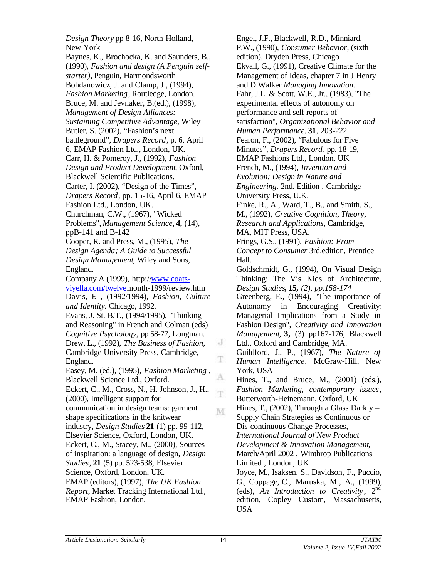*Design Theory* pp 8-16, North-Holland, New York Baynes, K., Brochocka, K. and Saunders, B., (1990), *Fashion and design (A Penguin selfstarter)*, Penguin, Harmondsworth Bohdanowicz, J. and Clamp, J., (1994), *Fashion Marketing*, Routledge, London. Bruce, M. and Jevnaker, B.(ed.), (1998), *Management of Design Alliances: Sustaining Competitive Advantage*, Wiley Butler, S. (2002), "Fashion's next battleground", *Drapers Record*, p. 6, April 6, EMAP Fashion Ltd., London, UK. Carr, H. & Pomeroy, J., (1992), *Fashion Design and Product Development*, Oxford, Blackwell Scientific Publications. Carter, I. (2002), "Design of the Times", *Drapers Record*, pp. 15-16, April 6, EMAP Fashion Ltd., London, UK. Churchman, C.W., (1967), "Wicked Problems", *Management Science,* **4,** (14), ppB-141 and B-142 Cooper, R. and Press, M., (1995), *The Design Agenda; A Guide to Successful Design Management*, Wiley and Sons, England. Company A (1999), http://www.coatsviyella.com/twelvemonth-1999/review.htm Davis, F. , (1992/1994), *Fashion, Culture and Identity.* Chicago, 1992. Evans, J. St. B.T., (1994/1995), "Thinking and Reasoning" in French and Colman (eds) *Cognitive Psychology,* pp 58-77, Longman. Drew, L., (1992), *The Business of Fashion,* Cambridge University Press, Cambridge, England. Easey, M. (ed.), (1995), *Fashion Marketing ,* Blackwell Science Ltd., Oxford. Eckert, C., M., Cross, N., H. Johnson, J., H., (2000), Intelligent support for communication in design teams: garment M shape specifications in the knitwear industry, *Design Studies* **21** (1) pp. 99-112, Elsevier Science, Oxford, London, UK. Eckert, C., M., Stacey, M., (2000), Sources of inspiration: a language of design, *Design Studies*, **21** (5) pp. 523-538, Elsevier Science, Oxford, London, UK. EMAP (editors), (1997), *The UK Fashion Report*, Market Tracking International Ltd., EMAP Fashion, London.

Engel, J.F., Blackwell, R.D., Minniard, P.W., (1990), *Consumer Behavior*, (sixth edition), Dryden Press, Chicago Ekvall, G., (1991), Creative Climate for the Management of Ideas, chapter 7 in J Henry and D Walker *Managing Innovation.* Fahr, J.L. & Scott, W.E., Jr., (1983), "The experimental effects of autonomy on performance and self reports of satisfaction", *Organizational Behavior and Human Performance,* **31**, 203-222 Fearon, F., (2002), "Fabulous for Five Minutes", *Drapers Record*, pp. 18-19, EMAP Fashions Ltd., London, UK French, M., (1994), *Invention and Evolution: Design in Nature and Engineering.* 2nd. Edition , Cambridge University Press, U.K. Finke, R., A., Ward, T., B., and Smith, S., M., (1992), *Creative Cognition, Theory, Research and Applications*, Cambridge, MA, MIT Press, USA. Frings, G.S., (1991), *Fashion: From Concept to Consumer* 3rd.edition, Prentice Hall. Goldschmidt, G., (1994), On Visual Design Thinking: The Vis Kids of Architecture, *Design Studies***, 15,** *(2), pp.158-174* Greenberg, E., (1994), "The importance of Autonomy in Encouraging Creativity: Managerial Implications from a Study in Fashion Design", *Creativity and Innovation Management*, **3,** (3) pp167-176, Blackwell Ltd., Oxford and Cambridge, MA. Guildford, J., P., (1967), *The Nature of Human Intelligence*, McGraw-Hill, New York, USA Hines, T., and Bruce, M., (2001) (eds.), *Fashion Marketing, contemporary issues*, Butterworth-Heinemann, Oxford, UK Hines, T., (2002), Through a Glass Darkly – Supply Chain Strategies as Continuous or Dis-continuous Change Processes, *International Journal of New Product Development & Innovation Management*, March/April 2002 , Winthrop Publications Limited , London, UK Joyce, M., Isaksen, S., Davidson, F., Puccio, G., Coppage, C., Maruska, M., A., (1999), (eds), An Introduction to Creativity, 2<sup>nd</sup> edition, Copley Custom, Massachusetts, USA

J

T.

A.

T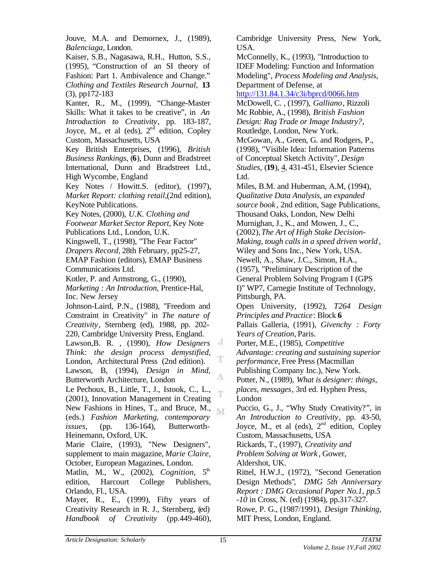Jouve, M.A. and Demornex, J., (1989), *Balenciaga*, London.

Kaiser, S.B., Nagasawa, R.H., Hutton, S.S., (1995), "Construction of an SI theory of Fashion: Part 1. Ambivalence and Change." *Clothing and Textiles Research Journal,* **13** (3), pp172-183

Kanter, R., M., (1999), "Change-Master Skills: What it takes to be creative", in *An Introduction to Creativity*, pp. 183-187, Joyce, M., et al (eds),  $2<sup>nd</sup>$  edition, Copley Custom, Massachusetts, USA

Key British Enterprises, (1996), *British Business Rankings*, (**6**), Dunn and Bradstreet International, Dunn and Bradstreet Ltd., High Wycombe, England

Key Notes / Howitt.S. (editor), (1997), *Market Report: clothing retail,*(2nd edition), KeyNote Publications.

Key Notes, (2000), *U.K. Clothing and*

*Footwear Market Sector Report*, Key Note Publications Ltd., London, U.K.

Kingswell, T., (1998), "The Fear Factor"

*Drapers Record,* 28th February, pp25-27, EMAP Fashion (editors), EMAP Business Communications Ltd.

Kotler, P. and Armstrong, G., (1990),

*Marketing : An Introduction,* Prentice-Hal, Inc. New Jersey

Johnson-Laird, P.N., (1988), "Freedom and Constraint in Creativity" in *The nature of Creativity*, Sternberg (ed), 1988, pp. 202- 220, Cambridge University Press, England. Lawson,B. R. , (1990), *How Designers Think: the design process demystified,* London, Architectural Press (2nd edition). Lawson, B, (1994), *Design in Mind*, Butterworth Architecture, London

Le Pechoux, B., Little, T., J., Istook, C., L., (2001), Innovation Management in Creating New Fashions in Hines,  $\overline{T}$ ., and Bruce, M., (eds.) *Fashion Marketing, contemporary issues*, (pp. 136-164), Butterworth-Heinemann, Oxford, UK.

Marie Claire, (1993), "New Designers", supplement to main magazine, *Marie Claire,* October, European Magazines, London.

Matlin, M., W., (2002), *Cognition*, 5<sup>th</sup> edition, Harcourt College Publishers, Orlando, Fl., USA.

Mayer, R., E., (1999), Fifty years of Creativity Research in R. J., Sternberg, (ed) *Handbook of Creativity* (pp.449-460), Cambridge University Press, New York, USA.

McConnelly, K., (1993), "Introduction to IDEF Modeling: Function and Information Modeling", *Process Modeling and Analysis,* Department of Defense, at

http://131.84.1.34/c3i/bprcd/0066.htm

McDowell, C. , (1997), *Galliano*, Rizzoli Mc Robbie, A., (1998), *British Fashion Design: Rag Trade or Image Industry?,* Routledge, London, New York.

McGowan, A., Green, G. and Rodgers, P., (1998), "Visible Idea: Information Patterns of Conceptual Sketch Activity", *Design Studies,* (**19**), 4, 431-451, Elsevier Science Ltd.

Miles, B.M. and Huberman, A.M, (1994), *Qualitative Data Analysis, an expanded source book* , 2nd edition, Sage Publications, Thousand Oaks, London, New Delhi Murnighan, J., K., and Mowen, J., C., (2002), *The Art of High Stake Decision-*

*Making, tough calls in a speed driven world*, Wiley and Sons Inc., New York, USA.

Newell, A., Shaw, J.C., Simon, H.A.,

(1957), "Preliminary Description of the General Problem Solving Program I (GPS I)" WP7, Carnegie Institute of Technology, Pittsburgh, PA.

Open University, (1992), *T264 Design Principles and Practice*: Block **6** Pallais Galleria, (1991), *Givenchy : Forty Years of Creation,* Paris.

Porter, M.E., (1985), *Competitive*

*Advantage: creating and sustaining superior performance,* Free Press (Macmillan Publishing Company Inc.), New York.

Potter, N., (1989), *What is designer: things, places, messages*, 3rd ed. Hyphen Press, London

Puccio, G., J., "Why Study Creativity?", in *An Introduction to Creativity*, pp. 43-50, Joyce, M., et al (eds),  $2<sup>nd</sup>$  edition, Copley Custom, Massachusetts, USA

Rickards, T., (1997), *Creativity and Problem Solving at Work* , Gower, Aldershot, UK.

Rittel, H.W.J., (1972), "Second Generation Design Methods", *DMG 5th Anniversary Report : DMG Occasional Paper No.1, pp.5 -10* in Cross, N. (ed) (1984), pp.317-327.

Rowe, P. G., (1987/1991), *Design Thinking,* MIT Press, London, England.

г

A